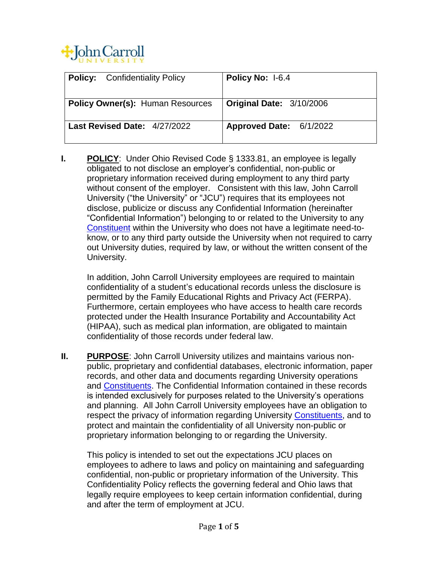

| <b>Policy:</b> Confidentiality Policy   | Policy No: 1-6.4         |
|-----------------------------------------|--------------------------|
| <b>Policy Owner(s): Human Resources</b> | Original Date: 3/10/2006 |
| Last Revised Date: 4/27/2022            | Approved Date: 6/1/2022  |

**I. POLICY**: Under Ohio Revised Code § 1333.81, an employee is legally obligated to not disclose an employer's confidential, non-public or proprietary information received during employment to any third party without consent of the employer. Consistent with this law, John Carroll University ("the University" or "JCU") requires that its employees not disclose, publicize or discuss any Confidential Information (hereinafter "Confidential Information") belonging to or related to the University to any [Constituent](#page-1-0) within the University who does not have a legitimate need-toknow, or to any third party outside the University when not required to carry out University duties, required by law, or without the written consent of the University.

In addition, John Carroll University employees are required to maintain confidentiality of a student's educational records unless the disclosure is permitted by the Family Educational Rights and Privacy Act (FERPA). Furthermore, certain employees who have access to health care records protected under the Health Insurance Portability and Accountability Act (HIPAA), such as medical plan information, are obligated to maintain confidentiality of those records under federal law.

**II. PURPOSE**: John Carroll University utilizes and maintains various nonpublic, proprietary and confidential databases, electronic information, paper records, and other data and documents regarding University operations and **Constituents**. The Confidential Information contained in these records is intended exclusively for purposes related to the University's operations and planning. All John Carroll University employees have an obligation to respect the privacy of information regarding University [Constituents,](#page-1-0) and to protect and maintain the confidentiality of all University non-public or proprietary information belonging to or regarding the University.

This policy is intended to set out the expectations JCU places on employees to adhere to laws and policy on maintaining and safeguarding confidential, non-public or proprietary information of the University. This Confidentiality Policy reflects the governing federal and Ohio laws that legally require employees to keep certain information confidential, during and after the term of employment at JCU.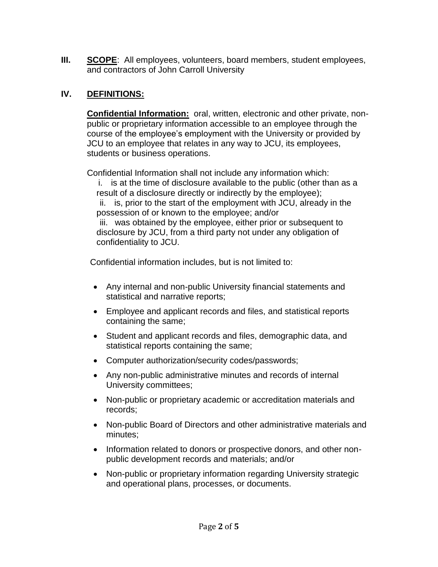**III. SCOPE**: All employees, volunteers, board members, student employees, and contractors of John Carroll University

## <span id="page-1-0"></span>**IV. DEFINITIONS:**

**Confidential Information:** oral, written, electronic and other private, nonpublic or proprietary information accessible to an employee through the course of the employee's employment with the University or provided by JCU to an employee that relates in any way to JCU, its employees, students or business operations.

Confidential Information shall not include any information which:

 i. is at the time of disclosure available to the public (other than as a result of a disclosure directly or indirectly by the employee); ii. is, prior to the start of the employment with JCU, already in the possession of or known to the employee; and/or iii. was obtained by the employee, either prior or subsequent to disclosure by JCU, from a third party not under any obligation of confidentiality to JCU.

Confidential information includes, but is not limited to:

- Any internal and non-public University financial statements and statistical and narrative reports;
- Employee and applicant records and files, and statistical reports containing the same;
- Student and applicant records and files, demographic data, and statistical reports containing the same;
- Computer authorization/security codes/passwords;
- Any non-public administrative minutes and records of internal University committees;
- Non-public or proprietary academic or accreditation materials and records;
- Non-public Board of Directors and other administrative materials and minutes;
- Information related to donors or prospective donors, and other nonpublic development records and materials; and/or
- Non-public or proprietary information regarding University strategic and operational plans, processes, or documents.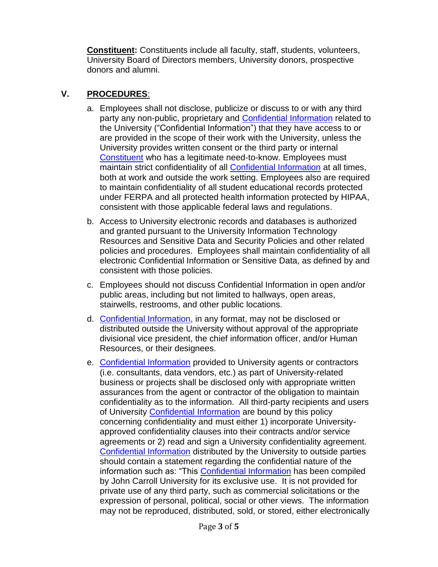**Constituent:** Constituents include all faculty, staff, students, volunteers, University Board of Directors members, University donors, prospective donors and alumni.

## **V. PROCEDURES**:

- a. Employees shall not disclose, publicize or discuss to or with any third party any non-public, proprietary and [Confidential Information](#page-1-0) related to the University ("Confidential Information") that they have access to or are provided in the scope of their work with the University, unless the University provides written consent or the third party or internal [Constituent](#page-1-0) who has a legitimate need-to-know. Employees must maintain strict confidentiality of all [Confidential Information](#page-1-0) at all times, both at work and outside the work setting. Employees also are required to maintain confidentiality of all student educational records protected under FERPA and all protected health information protected by HIPAA, consistent with those applicable federal laws and regulations.
- b. Access to University electronic records and databases is authorized and granted pursuant to the University Information Technology Resources and Sensitive Data and Security Policies and other related policies and procedures. Employees shall maintain confidentiality of all electronic Confidential Information or Sensitive Data, as defined by and consistent with those policies.
- c. Employees should not discuss Confidential Information in open and/or public areas, including but not limited to hallways, open areas, stairwells, restrooms, and other public locations.
- d. [Confidential Information,](#page-1-0) in any format, may not be disclosed or distributed outside the University without approval of the appropriate divisional vice president, the chief information officer, and/or Human Resources, or their designees.
- e. [Confidential Information](#page-1-0) provided to University agents or contractors (i.e. consultants, data vendors, etc.) as part of University-related business or projects shall be disclosed only with appropriate written assurances from the agent or contractor of the obligation to maintain confidentiality as to the information. All third-party recipients and users of University [Confidential Information](#page-1-0) are bound by this policy concerning confidentiality and must either 1) incorporate Universityapproved confidentiality clauses into their contracts and/or service agreements or 2) read and sign a University confidentiality agreement. [Confidential Information](#page-1-0) distributed by the University to outside parties should contain a statement regarding the confidential nature of the information such as: "This [Confidential Information](#page-1-0) has been compiled by John Carroll University for its exclusive use. It is not provided for private use of any third party, such as commercial solicitations or the expression of personal, political, social or other views. The information may not be reproduced, distributed, sold, or stored, either electronically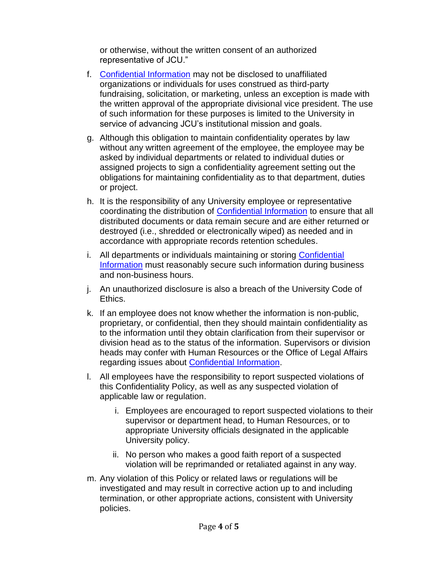or otherwise, without the written consent of an authorized representative of JCU."

- f. [Confidential Information](#page-1-0) may not be disclosed to unaffiliated organizations or individuals for uses construed as third-party fundraising, solicitation, or marketing, unless an exception is made with the written approval of the appropriate divisional vice president. The use of such information for these purposes is limited to the University in service of advancing JCU's institutional mission and goals.
- g. Although this obligation to maintain confidentiality operates by law without any written agreement of the employee, the employee may be asked by individual departments or related to individual duties or assigned projects to sign a confidentiality agreement setting out the obligations for maintaining confidentiality as to that department, duties or project.
- h. It is the responsibility of any University employee or representative coordinating the distribution of [Confidential Information](#page-1-0) to ensure that all distributed documents or data remain secure and are either returned or destroyed (i.e., shredded or electronically wiped) as needed and in accordance with appropriate records retention schedules.
- i. All departments or individuals maintaining or storing Confidential [Information](#page-1-0) must reasonably secure such information during business and non-business hours.
- j. An unauthorized disclosure is also a breach of the University Code of Ethics.
- k. If an employee does not know whether the information is non-public, proprietary, or confidential, then they should maintain confidentiality as to the information until they obtain clarification from their supervisor or division head as to the status of the information. Supervisors or division heads may confer with Human Resources or the Office of Legal Affairs regarding issues about [Confidential Information.](#page-1-0)
- l. All employees have the responsibility to report suspected violations of this Confidentiality Policy, as well as any suspected violation of applicable law or regulation.
	- i. Employees are encouraged to report suspected violations to their supervisor or department head, to Human Resources, or to appropriate University officials designated in the applicable University policy.
	- ii. No person who makes a good faith report of a suspected violation will be reprimanded or retaliated against in any way.
- m. Any violation of this Policy or related laws or regulations will be investigated and may result in corrective action up to and including termination, or other appropriate actions, consistent with University policies.